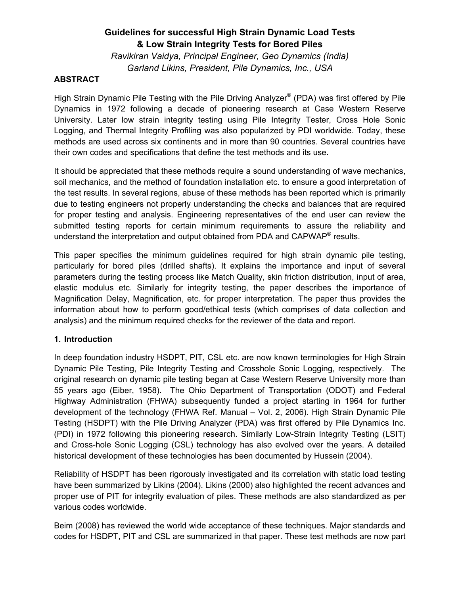# **Guidelines for successful High Strain Dynamic Load Tests & Low Strain Integrity Tests for Bored Piles**

*Ravikiran Vaidya, Principal Engineer, Geo Dynamics (India) Garland Likins, President, Pile Dynamics, Inc., USA* 

## **ABSTRACT**

High Strain Dynamic Pile Testing with the Pile Driving Analyzer® (PDA) was first offered by Pile Dynamics in 1972 following a decade of pioneering research at Case Western Reserve University. Later low strain integrity testing using Pile Integrity Tester, Cross Hole Sonic Logging, and Thermal Integrity Profiling was also popularized by PDI worldwide. Today, these methods are used across six continents and in more than 90 countries. Several countries have their own codes and specifications that define the test methods and its use.

It should be appreciated that these methods require a sound understanding of wave mechanics, soil mechanics, and the method of foundation installation etc. to ensure a good interpretation of the test results. In several regions, abuse of these methods has been reported which is primarily due to testing engineers not properly understanding the checks and balances that are required for proper testing and analysis. Engineering representatives of the end user can review the submitted testing reports for certain minimum requirements to assure the reliability and understand the interpretation and output obtained from PDA and CAPWAP® results.

This paper specifies the minimum guidelines required for high strain dynamic pile testing, particularly for bored piles (drilled shafts). It explains the importance and input of several parameters during the testing process like Match Quality, skin friction distribution, input of area, elastic modulus etc. Similarly for integrity testing, the paper describes the importance of Magnification Delay, Magnification, etc. for proper interpretation. The paper thus provides the information about how to perform good/ethical tests (which comprises of data collection and analysis) and the minimum required checks for the reviewer of the data and report.

#### **1. Introduction**

In deep foundation industry HSDPT, PIT, CSL etc. are now known terminologies for High Strain Dynamic Pile Testing, Pile Integrity Testing and Crosshole Sonic Logging, respectively. The original research on dynamic pile testing began at Case Western Reserve University more than 55 years ago (Eiber, 1958). The Ohio Department of Transportation (ODOT) and Federal Highway Administration (FHWA) subsequently funded a project starting in 1964 for further development of the technology (FHWA Ref. Manual – Vol. 2, 2006). High Strain Dynamic Pile Testing (HSDPT) with the Pile Driving Analyzer (PDA) was first offered by Pile Dynamics Inc. (PDI) in 1972 following this pioneering research. Similarly Low-Strain Integrity Testing (LSIT) and Cross-hole Sonic Logging (CSL) technology has also evolved over the years. A detailed historical development of these technologies has been documented by Hussein (2004).

Reliability of HSDPT has been rigorously investigated and its correlation with static load testing have been summarized by Likins (2004). Likins (2000) also highlighted the recent advances and proper use of PIT for integrity evaluation of piles. These methods are also standardized as per various codes worldwide.

Beim (2008) has reviewed the world wide acceptance of these techniques. Major standards and codes for HSDPT, PIT and CSL are summarized in that paper. These test methods are now part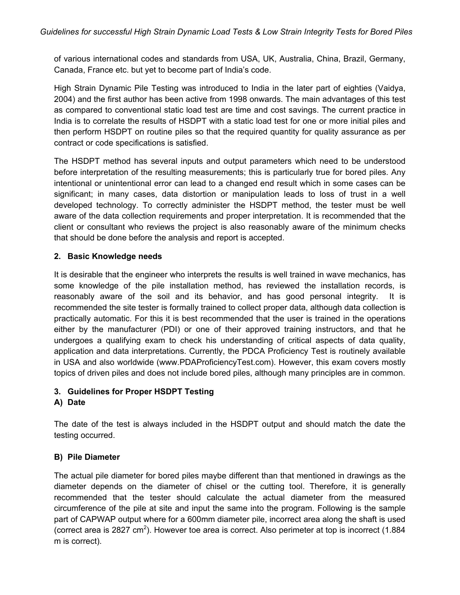of various international codes and standards from USA, UK, Australia, China, Brazil, Germany, Canada, France etc. but yet to become part of India's code.

High Strain Dynamic Pile Testing was introduced to India in the later part of eighties (Vaidya, 2004) and the first author has been active from 1998 onwards. The main advantages of this test as compared to conventional static load test are time and cost savings. The current practice in India is to correlate the results of HSDPT with a static load test for one or more initial piles and then perform HSDPT on routine piles so that the required quantity for quality assurance as per contract or code specifications is satisfied.

The HSDPT method has several inputs and output parameters which need to be understood before interpretation of the resulting measurements; this is particularly true for bored piles. Any intentional or unintentional error can lead to a changed end result which in some cases can be significant; in many cases, data distortion or manipulation leads to loss of trust in a well developed technology. To correctly administer the HSDPT method, the tester must be well aware of the data collection requirements and proper interpretation. It is recommended that the client or consultant who reviews the project is also reasonably aware of the minimum checks that should be done before the analysis and report is accepted.

## **2. Basic Knowledge needs**

It is desirable that the engineer who interprets the results is well trained in wave mechanics, has some knowledge of the pile installation method, has reviewed the installation records, is reasonably aware of the soil and its behavior, and has good personal integrity. It is recommended the site tester is formally trained to collect proper data, although data collection is practically automatic. For this it is best recommended that the user is trained in the operations either by the manufacturer (PDI) or one of their approved training instructors, and that he undergoes a qualifying exam to check his understanding of critical aspects of data quality, application and data interpretations. Currently, the PDCA Proficiency Test is routinely available in USA and also worldwide (www.PDAProficiencyTest.com). However, this exam covers mostly topics of driven piles and does not include bored piles, although many principles are in common.

## **3. Guidelines for Proper HSDPT Testing**

## **A) Date**

The date of the test is always included in the HSDPT output and should match the date the testing occurred.

# **B) Pile Diameter**

The actual pile diameter for bored piles maybe different than that mentioned in drawings as the diameter depends on the diameter of chisel or the cutting tool. Therefore, it is generally recommended that the tester should calculate the actual diameter from the measured circumference of the pile at site and input the same into the program. Following is the sample part of CAPWAP output where for a 600mm diameter pile, incorrect area along the shaft is used (correct area is 2827 cm<sup>2</sup>). However toe area is correct. Also perimeter at top is incorrect (1.884 m is correct).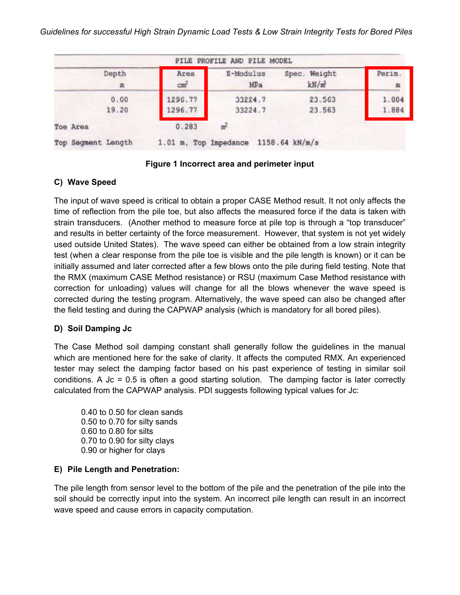|                    |                         | PILE PROFILE AND PILE MODEL          |                      |                        |
|--------------------|-------------------------|--------------------------------------|----------------------|------------------------|
| Depth<br>皿         | Area<br>cm <sup>2</sup> | E-Modulus<br>MPa                     | Spec. Weight<br>kN/m | Perim.<br>$\mathbf{m}$ |
| 0.00<br>19.20      | 1296.77<br>1296.77      | 33224.7<br>33224.7                   | 23.563<br>23.563     | 1.004<br>1.884         |
| Toe Area           | 0.283                   | m <sup>2</sup>                       |                      |                        |
| Top Segment Length |                         | 1.01 m, Top Impedance 1158.64 kN/m/s |                      |                        |

#### **Figure 1 Incorrect area and perimeter input**

#### **C) Wave Speed**

The input of wave speed is critical to obtain a proper CASE Method result. It not only affects the time of reflection from the pile toe, but also affects the measured force if the data is taken with strain transducers. (Another method to measure force at pile top is through a "top transducer" and results in better certainty of the force measurement. However, that system is not yet widely used outside United States). The wave speed can either be obtained from a low strain integrity test (when a clear response from the pile toe is visible and the pile length is known) or it can be initially assumed and later corrected after a few blows onto the pile during field testing. Note that the RMX (maximum CASE Method resistance) or RSU (maximum Case Method resistance with correction for unloading) values will change for all the blows whenever the wave speed is corrected during the testing program. Alternatively, the wave speed can also be changed after the field testing and during the CAPWAP analysis (which is mandatory for all bored piles).

## **D) Soil Damping Jc**

The Case Method soil damping constant shall generally follow the guidelines in the manual which are mentioned here for the sake of clarity. It affects the computed RMX. An experienced tester may select the damping factor based on his past experience of testing in similar soil conditions. A Jc = 0.5 is often a good starting solution. The damping factor is later correctly calculated from the CAPWAP analysis. PDI suggests following typical values for Jc:

0.40 to 0.50 for clean sands 0.50 to 0.70 for silty sands 0.60 to 0.80 for silts 0.70 to 0.90 for silty clays 0.90 or higher for clays

## **E) Pile Length and Penetration:**

The pile length from sensor level to the bottom of the pile and the penetration of the pile into the soil should be correctly input into the system. An incorrect pile length can result in an incorrect wave speed and cause errors in capacity computation.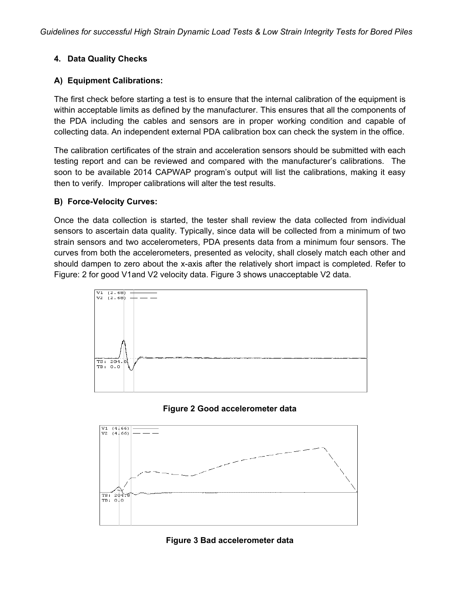## **4. Data Quality Checks**

## **A) Equipment Calibrations:**

The first check before starting a test is to ensure that the internal calibration of the equipment is within acceptable limits as defined by the manufacturer. This ensures that all the components of the PDA including the cables and sensors are in proper working condition and capable of collecting data. An independent external PDA calibration box can check the system in the office.

The calibration certificates of the strain and acceleration sensors should be submitted with each testing report and can be reviewed and compared with the manufacturer's calibrations. The soon to be available 2014 CAPWAP program's output will list the calibrations, making it easy then to verify. Improper calibrations will alter the test results.

## **B) Force-Velocity Curves:**

Once the data collection is started, the tester shall review the data collected from individual sensors to ascertain data quality. Typically, since data will be collected from a minimum of two strain sensors and two accelerometers, PDA presents data from a minimum four sensors. The curves from both the accelerometers, presented as velocity, shall closely match each other and should dampen to zero about the x-axis after the relatively short impact is completed. Refer to Figure: 2 for good V1and V2 velocity data. Figure 3 shows unacceptable V2 data.







#### **Figure 3 Bad accelerometer data**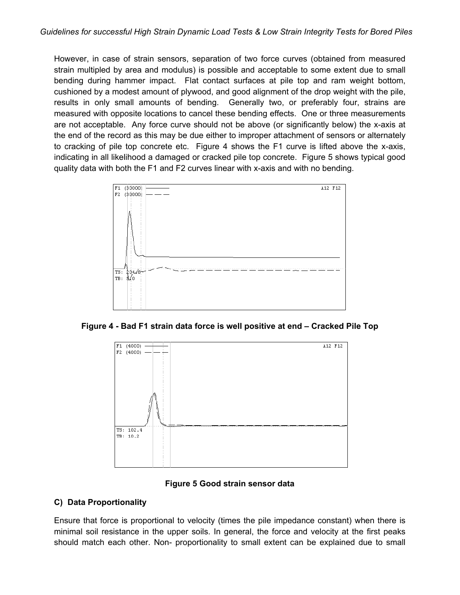However, in case of strain sensors, separation of two force curves (obtained from measured strain multipled by area and modulus) is possible and acceptable to some extent due to small bending during hammer impact. Flat contact surfaces at pile top and ram weight bottom, cushioned by a modest amount of plywood, and good alignment of the drop weight with the pile, results in only small amounts of bending. Generally two, or preferably four, strains are measured with opposite locations to cancel these bending effects. One or three measurements are not acceptable. Any force curve should not be above (or significantly below) the x-axis at the end of the record as this may be due either to improper attachment of sensors or alternately to cracking of pile top concrete etc. Figure 4 shows the F1 curve is lifted above the x-axis, indicating in all likelihood a damaged or cracked pile top concrete. Figure 5 shows typical good quality data with both the F1 and F2 curves linear with x-axis and with no bending.



**Figure 4 - Bad F1 strain data force is well positive at end – Cracked Pile Top** 



## **Figure 5 Good strain sensor data**

## **C) Data Proportionality**

Ensure that force is proportional to velocity (times the pile impedance constant) when there is minimal soil resistance in the upper soils. In general, the force and velocity at the first peaks should match each other. Non- proportionality to small extent can be explained due to small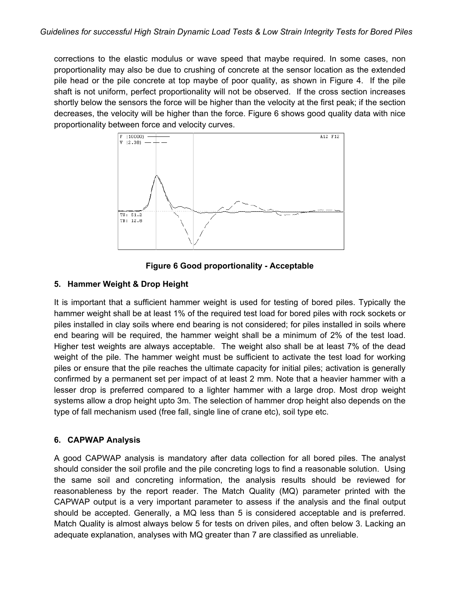corrections to the elastic modulus or wave speed that maybe required. In some cases, non proportionality may also be due to crushing of concrete at the sensor location as the extended pile head or the pile concrete at top maybe of poor quality, as shown in Figure 4. If the pile shaft is not uniform, perfect proportionality will not be observed. If the cross section increases shortly below the sensors the force will be higher than the velocity at the first peak; if the section decreases, the velocity will be higher than the force. Figure 6 shows good quality data with nice proportionality between force and velocity curves.



**Figure 6 Good proportionality - Acceptable** 

## **5. Hammer Weight & Drop Height**

It is important that a sufficient hammer weight is used for testing of bored piles. Typically the hammer weight shall be at least 1% of the required test load for bored piles with rock sockets or piles installed in clay soils where end bearing is not considered; for piles installed in soils where end bearing will be required, the hammer weight shall be a minimum of 2% of the test load. Higher test weights are always acceptable. The weight also shall be at least 7% of the dead weight of the pile. The hammer weight must be sufficient to activate the test load for working piles or ensure that the pile reaches the ultimate capacity for initial piles; activation is generally confirmed by a permanent set per impact of at least 2 mm. Note that a heavier hammer with a lesser drop is preferred compared to a lighter hammer with a large drop. Most drop weight systems allow a drop height upto 3m. The selection of hammer drop height also depends on the type of fall mechanism used (free fall, single line of crane etc), soil type etc.

# **6. CAPWAP Analysis**

A good CAPWAP analysis is mandatory after data collection for all bored piles. The analyst should consider the soil profile and the pile concreting logs to find a reasonable solution. Using the same soil and concreting information, the analysis results should be reviewed for reasonableness by the report reader. The Match Quality (MQ) parameter printed with the CAPWAP output is a very important parameter to assess if the analysis and the final output should be accepted. Generally, a MQ less than 5 is considered acceptable and is preferred. Match Quality is almost always below 5 for tests on driven piles, and often below 3. Lacking an adequate explanation, analyses with MQ greater than 7 are classified as unreliable.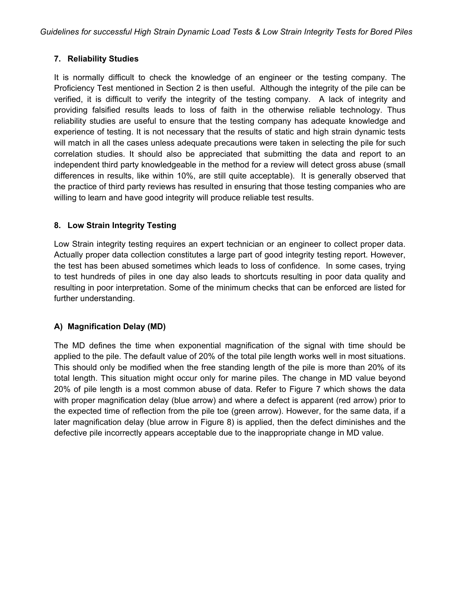# **7. Reliability Studies**

It is normally difficult to check the knowledge of an engineer or the testing company. The Proficiency Test mentioned in Section 2 is then useful. Although the integrity of the pile can be verified, it is difficult to verify the integrity of the testing company. A lack of integrity and providing falsified results leads to loss of faith in the otherwise reliable technology. Thus reliability studies are useful to ensure that the testing company has adequate knowledge and experience of testing. It is not necessary that the results of static and high strain dynamic tests will match in all the cases unless adequate precautions were taken in selecting the pile for such correlation studies. It should also be appreciated that submitting the data and report to an independent third party knowledgeable in the method for a review will detect gross abuse (small differences in results, like within 10%, are still quite acceptable). It is generally observed that the practice of third party reviews has resulted in ensuring that those testing companies who are willing to learn and have good integrity will produce reliable test results.

# **8. Low Strain Integrity Testing**

Low Strain integrity testing requires an expert technician or an engineer to collect proper data. Actually proper data collection constitutes a large part of good integrity testing report. However, the test has been abused sometimes which leads to loss of confidence. In some cases, trying to test hundreds of piles in one day also leads to shortcuts resulting in poor data quality and resulting in poor interpretation. Some of the minimum checks that can be enforced are listed for further understanding.

# **A) Magnification Delay (MD)**

The MD defines the time when exponential magnification of the signal with time should be applied to the pile. The default value of 20% of the total pile length works well in most situations. This should only be modified when the free standing length of the pile is more than 20% of its total length. This situation might occur only for marine piles. The change in MD value beyond 20% of pile length is a most common abuse of data. Refer to Figure 7 which shows the data with proper magnification delay (blue arrow) and where a defect is apparent (red arrow) prior to the expected time of reflection from the pile toe (green arrow). However, for the same data, if a later magnification delay (blue arrow in Figure 8) is applied, then the defect diminishes and the defective pile incorrectly appears acceptable due to the inappropriate change in MD value.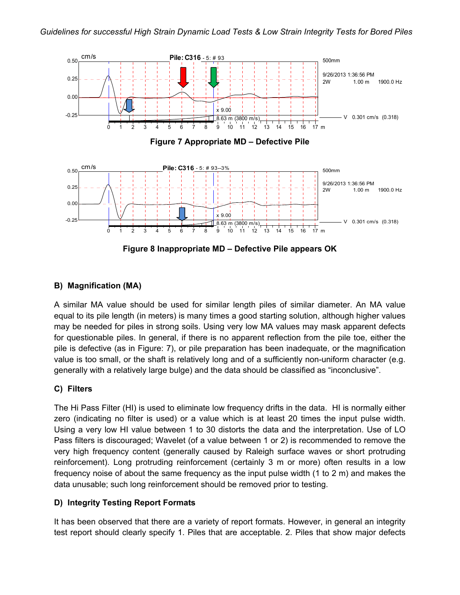

#### **B) Magnification (MA)**

A similar MA value should be used for similar length piles of similar diameter. An MA value equal to its pile length (in meters) is many times a good starting solution, although higher values may be needed for piles in strong soils. Using very low MA values may mask apparent defects for questionable piles. In general, if there is no apparent reflection from the pile toe, either the pile is defective (as in Figure: 7), or pile preparation has been inadequate, or the magnification value is too small, or the shaft is relatively long and of a sufficiently non-uniform character (e.g. generally with a relatively large bulge) and the data should be classified as "inconclusive".

#### **C) Filters**

The Hi Pass Filter (HI) is used to eliminate low frequency drifts in the data. HI is normally either zero (indicating no filter is used) or a value which is at least 20 times the input pulse width. Using a very low HI value between 1 to 30 distorts the data and the interpretation. Use of LO Pass filters is discouraged; Wavelet (of a value between 1 or 2) is recommended to remove the very high frequency content (generally caused by Raleigh surface waves or short protruding reinforcement). Long protruding reinforcement (certainly 3 m or more) often results in a low frequency noise of about the same frequency as the input pulse width (1 to 2 m) and makes the data unusable; such long reinforcement should be removed prior to testing.

#### **D) Integrity Testing Report Formats**

It has been observed that there are a variety of report formats. However, in general an integrity test report should clearly specify 1. Piles that are acceptable. 2. Piles that show major defects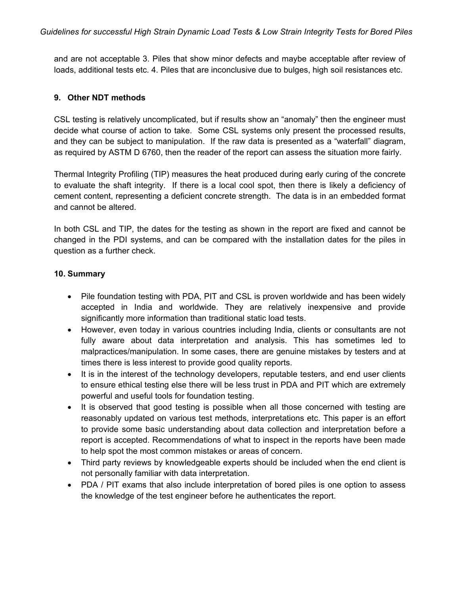and are not acceptable 3. Piles that show minor defects and maybe acceptable after review of loads, additional tests etc. 4. Piles that are inconclusive due to bulges, high soil resistances etc.

#### **9. Other NDT methods**

CSL testing is relatively uncomplicated, but if results show an "anomaly" then the engineer must decide what course of action to take. Some CSL systems only present the processed results, and they can be subject to manipulation. If the raw data is presented as a "waterfall" diagram, as required by ASTM D 6760, then the reader of the report can assess the situation more fairly.

Thermal Integrity Profiling (TIP) measures the heat produced during early curing of the concrete to evaluate the shaft integrity. If there is a local cool spot, then there is likely a deficiency of cement content, representing a deficient concrete strength. The data is in an embedded format and cannot be altered.

In both CSL and TIP, the dates for the testing as shown in the report are fixed and cannot be changed in the PDI systems, and can be compared with the installation dates for the piles in question as a further check.

#### **10. Summary**

- Pile foundation testing with PDA, PIT and CSL is proven worldwide and has been widely accepted in India and worldwide. They are relatively inexpensive and provide significantly more information than traditional static load tests.
- However, even today in various countries including India, clients or consultants are not fully aware about data interpretation and analysis. This has sometimes led to malpractices/manipulation. In some cases, there are genuine mistakes by testers and at times there is less interest to provide good quality reports.
- It is in the interest of the technology developers, reputable testers, and end user clients to ensure ethical testing else there will be less trust in PDA and PIT which are extremely powerful and useful tools for foundation testing.
- It is observed that good testing is possible when all those concerned with testing are reasonably updated on various test methods, interpretations etc. This paper is an effort to provide some basic understanding about data collection and interpretation before a report is accepted. Recommendations of what to inspect in the reports have been made to help spot the most common mistakes or areas of concern.
- Third party reviews by knowledgeable experts should be included when the end client is not personally familiar with data interpretation.
- PDA / PIT exams that also include interpretation of bored piles is one option to assess the knowledge of the test engineer before he authenticates the report.